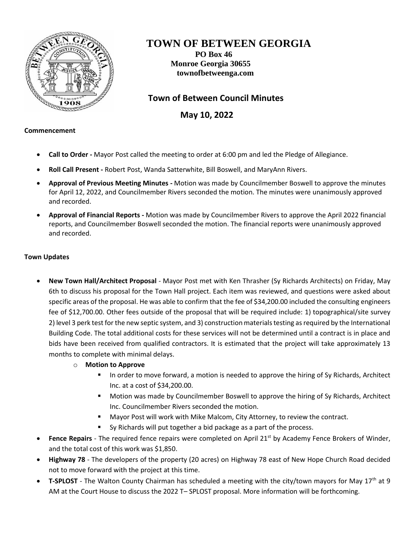

# **TOWN OF BETWEEN GEORGIA**

**PO Box 46 Monroe Georgia 30655 townofbetweenga.com**

# **Town of Between Council Minutes**

 **May 10, 2022**

## **Commencement**

- **Call to Order -** Mayor Post called the meeting to order at 6:00 pm and led the Pledge of Allegiance.
- **Roll Call Present -** Robert Post, Wanda Satterwhite, Bill Boswell, and MaryAnn Rivers.
- **Approval of Previous Meeting Minutes -** Motion was made by Councilmember Boswell to approve the minutes for April 12, 2022, and Councilmember Rivers seconded the motion. The minutes were unanimously approved and recorded.
- **Approval of Financial Reports -** Motion was made by Councilmember Rivers to approve the April 2022 financial reports, and Councilmember Boswell seconded the motion. The financial reports were unanimously approved and recorded.

## **Town Updates**

- **New Town Hall/Architect Proposal** Mayor Post met with Ken Thrasher (Sy Richards Architects) on Friday, May 6th to discuss his proposal for the Town Hall project. Each item was reviewed, and questions were asked about specific areas of the proposal. He was able to confirm that the fee of \$34,200.00 included the consulting engineers fee of \$12,700.00. Other fees outside of the proposal that will be required include: 1) topographical/site survey 2) level 3 perk test for the new septic system, and 3) construction materials testing as required by the International Building Code. The total additional costs for these services will not be determined until a contract is in place and bids have been received from qualified contractors. It is estimated that the project will take approximately 13 months to complete with minimal delays.
	- o **Motion to Approve**
		- In order to move forward, a motion is needed to approve the hiring of Sy Richards, Architect Inc. at a cost of \$34,200.00.
		- Motion was made by Councilmember Boswell to approve the hiring of Sy Richards, Architect Inc. Councilmember Rivers seconded the motion.
		- Mayor Post will work with Mike Malcom, City Attorney, to review the contract.
		- Sy Richards will put together a bid package as a part of the process.
- Fence Repairs The required fence repairs were completed on April 21<sup>st</sup> by Academy Fence Brokers of Winder, and the total cost of this work was \$1,850.
- **Highway 78**  The developers of the property (20 acres) on Highway 78 east of New Hope Church Road decided not to move forward with the project at this time.
- **T-SPLOST** The Walton County Chairman has scheduled a meeting with the city/town mayors for May 17<sup>th</sup> at 9 AM at the Court House to discuss the 2022 T– SPLOST proposal. More information will be forthcoming.